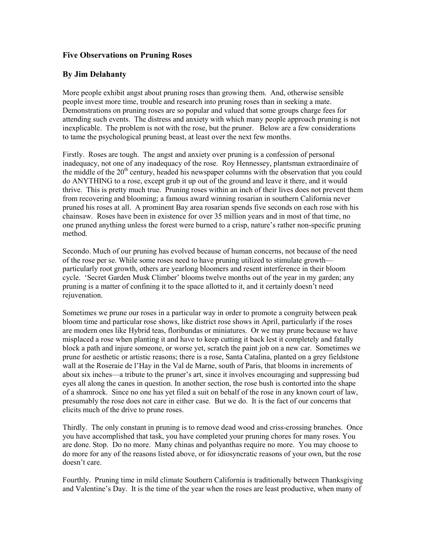## Five Observations on Pruning Roses

## By Jim Delahanty

More people exhibit angst about pruning roses than growing them. And, otherwise sensible people invest more time, trouble and research into pruning roses than in seeking a mate. Demonstrations on pruning roses are so popular and valued that some groups charge fees for attending such events. The distress and anxiety with which many people approach pruning is not inexplicable. The problem is not with the rose, but the pruner. Below are a few considerations to tame the psychological pruning beast, at least over the next few months.

Firstly. Roses are tough. The angst and anxiety over pruning is a confession of personal inadequacy, not one of any inadequacy of the rose. Roy Hennessey, plantsman extraordinaire of the middle of the  $20<sup>th</sup>$  century, headed his newspaper columns with the observation that you could do ANYTHING to a rose, except grub it up out of the ground and leave it there, and it would thrive. This is pretty much true. Pruning roses within an inch of their lives does not prevent them from recovering and blooming; a famous award winning rosarian in southern California never pruned his roses at all. A prominent Bay area rosarian spends five seconds on each rose with his chainsaw. Roses have been in existence for over 35 million years and in most of that time, no one pruned anything unless the forest were burned to a crisp, nature's rather non-specific pruning method.

Secondo. Much of our pruning has evolved because of human concerns, not because of the need of the rose per se. While some roses need to have pruning utilized to stimulate growth particularly root growth, others are yearlong bloomers and resent interference in their bloom cycle. 'Secret Garden Musk Climber' blooms twelve months out of the year in my garden; any pruning is a matter of confining it to the space allotted to it, and it certainly doesn't need rejuvenation.

Sometimes we prune our roses in a particular way in order to promote a congruity between peak bloom time and particular rose shows, like district rose shows in April, particularly if the roses are modern ones like Hybrid teas, floribundas or miniatures. Or we may prune because we have misplaced a rose when planting it and have to keep cutting it back lest it completely and fatally block a path and injure someone, or worse yet, scratch the paint job on a new car. Sometimes we prune for aesthetic or artistic reasons; there is a rose, Santa Catalina, planted on a grey fieldstone wall at the Roseraie de l'Hay in the Val de Marne, south of Paris, that blooms in increments of about six inches—a tribute to the pruner's art, since it involves encouraging and suppressing bud eyes all along the canes in question. In another section, the rose bush is contorted into the shape of a shamrock. Since no one has yet filed a suit on behalf of the rose in any known court of law, presumably the rose does not care in either case. But we do. It is the fact of our concerns that elicits much of the drive to prune roses.

Thirdly. The only constant in pruning is to remove dead wood and criss-crossing branches. Once you have accomplished that task, you have completed your pruning chores for many roses. You are done. Stop. Do no more. Many chinas and polyanthas require no more. You may choose to do more for any of the reasons listed above, or for idiosyncratic reasons of your own, but the rose doesn't care.

Fourthly. Pruning time in mild climate Southern California is traditionally between Thanksgiving and Valentine's Day. It is the time of the year when the roses are least productive, when many of